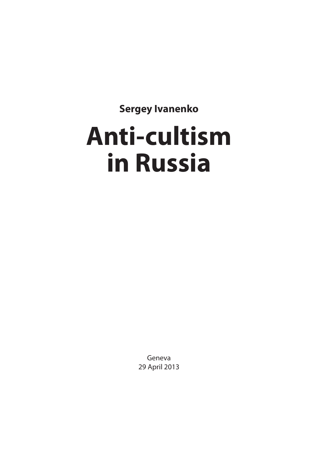**Sergey Ivanenko**

## **Anti-cultism in Russia**

Geneva 29 April 2013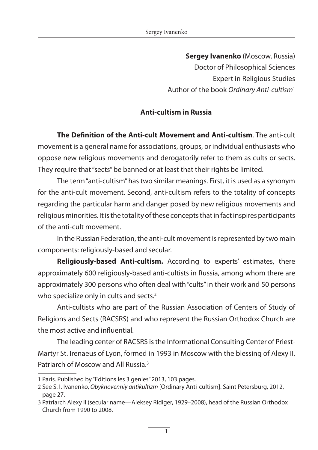**Sergey Ivanenko** (Moscow, Russia) Doctor of Philosophical Sciences Expert in Religious Studies Author of the book *Ordinary Anti-cultism*<sup>1</sup>

## **Anti-cultism in Russia**

**The Definition of the Anti-cult Movement and Anti-cultism**. The anti-cult movement is a general name for associations, groups, or individual enthusiasts who oppose new religious movements and derogatorily refer to them as cults or sects. They require that "sects" be banned or at least that their rights be limited.

The term "anti-cultism" has two similar meanings. First, it is used as a synonym for the anti-cult movement. Second, anti-cultism refers to the totality of concepts regarding the particular harm and danger posed by new religious movements and religious minorities. It is the totality of these concepts that in fact inspires participants of the anti-cult movement.

In the Russian Federation, the anti-cult movement is represented by two main components: religiously-based and secular.

**Religiously-based Anti-cultism.** According to experts' estimates, there approximately 600 religiously-based anti-cultists in Russia, among whom there are approximately 300 persons who often deal with "cults" in their work and 50 persons who specialize only in cults and sects.<sup>2</sup>

Anti-cultists who are part of the Russian Association of Centers of Study of Religions and Sects (RACSRS) and who represent the Russian Orthodox Church are the most active and influential.

The leading center of RACSRS is the Informational Consulting Center of Priest-Martyr St. Irenaeus of Lyon, formed in 1993 in Moscow with the blessing of Alexy II, Patriarch of Moscow and All Russia.3

<sup>1</sup> Paris. Published by "Editions les 3 genies" 2013, 103 pages.

<sup>2</sup> See S. I. Ivanenko, *Obyknovenniy antikultizm* [Ordinary Anti-cultism]. Saint Petersburg, 2012, page 27.

<sup>3</sup> Patriarch Alexy II (secular name—Aleksey Ridiger, 1929–2008), head of the Russian Orthodox Church from 1990 to 2008.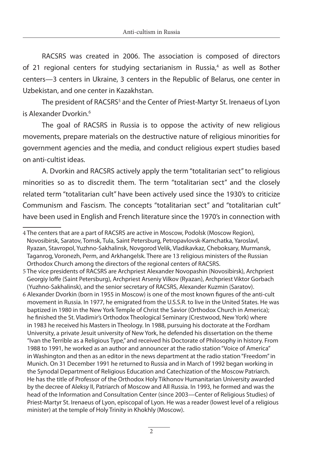RACSRS was created in 2006. The association is composed of directors of 21 regional centers for studying sectarianism in Russia,<sup>4</sup> as well as 8other centers—3 centers in Ukraine, 3 centers in the Republic of Belarus, one center in Uzbekistan, and one center in Kazakhstan.

The president of RACSRS<sup>5</sup> and the Center of Priest-Martyr St. Irenaeus of Lyon is Alexander Dvorkin.<sup>6</sup>

The goal of RACSRS in Russia is to oppose the activity of new religious movements, prepare materials on the destructive nature of religious minorities for government agencies and the media, and conduct religious expert studies based on anti-cultist ideas.

A. Dvorkin and RACSRS actively apply the term "totalitarian sect" to religious minorities so as to discredit them. The term "totalitarian sect" and the closely related term "totalitarian cult" have been actively used since the 1930's to criticize Communism and Fascism. The concepts "totalitarian sect" and "totalitarian cult" have been used in English and French literature since the 1970's in connection with

<sup>4</sup> The centers that are a part of RACSRS are active in Moscow, Podolsk (Moscow Region), Novosibirsk, Saratov, Tomsk, Tula, Saint Petersburg, Petropavlovsk-Kamchatka, Yaroslavl, Ryazan, Stavropol, Yuzhno-Sakhalinsk, Novgorod Velik, Vladikavkaz, Cheboksary, Murmansk, Taganrog, Voronezh, Perm, and Arkhangelsk. There are 13 religious ministers of the Russian Orthodox Church among the directors of the regional centers of RACSRS.

<sup>5</sup> The vice presidents of RACSRS are Archpriest Alexander Novopashin (Novosibirsk), Archpriest Georgiy Ioffe (Saint Petersburg), Archpriest Arseniy Vilkov (Ryazan), Archpriest Viktor Gorbach (Yuzhno-Sakhalinsk), and the senior secretary of RACSRS, Alexander Kuzmin (Saratov).

<sup>6</sup> Alexander Dvorkin (born in 1955 in Moscow) is one of the most known figures of the anti-cult movement in Russia. In 1977, he emigrated from the U.S.S.R. to live in the United States. He was baptized in 1980 in the New York Temple of Christ the Savior (Orthodox Church in America); he finished the St. Vladimir's Orthodox Theological Seminary (Crestwood, New York) where in 1983 he received his Masters in Theology. In 1988, pursuing his doctorate at the Fordham University, a private Jesuit university of New York, he defended his dissertation on the theme "Ivan the Terrible as a Religious Type," and received his Doctorate of Philosophy in history. From 1988 to 1991, he worked as an author and announcer at the radio station "Voice of America" in Washington and then as an editor in the news department at the radio station "Freedom" in Munich. On 31 December 1991 he returned to Russia and in March of 1992 began working in the Synodal Department of Religious Education and Catechization of the Moscow Patriarch. He has the title of Professor of the Orthodox Holy Tikhonov Humanitarian University awarded by the decree of Aleksy II, Patriarch of Moscow and All Russia. In 1993, he formed and was the head of the Information and Consultation Center (since 2003—Center of Religious Studies) of Priest-Martyr St. Irenaeus of Lyon, episcopal of Lyon. He was a reader (lowest level of a religious minister) at the temple of Holy Trinity in Khokhly (Moscow).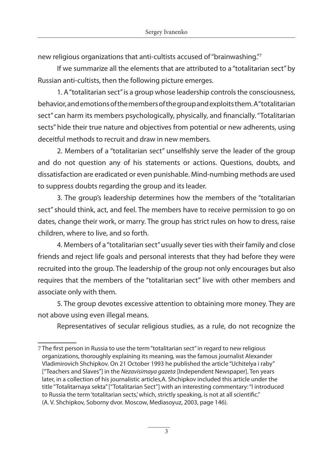new religious organizations that anti-cultists accused of "brainwashing."7

If we summarize all the elements that are attributed to a "totalitarian sect" by Russian anti-cultists, then the following picture emerges.

1. A "totalitarian sect" is a group whose leadership controls the consciousness, behavior, and emotions of the members of the group and exploits them. A "totalitarian sect" can harm its members psychologically, physically, and financially. "Totalitarian sects" hide their true nature and objectives from potential or new adherents, using deceitful methods to recruit and draw in new members.

2. Members of a "totalitarian sect" unselfishly serve the leader of the group and do not question any of his statements or actions. Questions, doubts, and dissatisfaction are eradicated or even punishable. Mind-numbing methods are used to suppress doubts regarding the group and its leader.

3. The group's leadership determines how the members of the "totalitarian sect" should think, act, and feel. The members have to receive permission to go on dates, change their work, or marry. The group has strict rules on how to dress, raise children, where to live, and so forth.

4. Members of a "totalitarian sect" usually sever ties with their family and close friends and reject life goals and personal interests that they had before they were recruited into the group. The leadership of the group not only encourages but also requires that the members of the "totalitarian sect" live with other members and associate only with them.

5. The group devotes excessive attention to obtaining more money. They are not above using even illegal means.

Representatives of secular religious studies, as a rule, do not recognize the

<sup>7</sup> The first person in Russia to use the term "totalitarian sect" in regard to new religious organizations, thoroughly explaining its meaning, was the famous journalist Alexander Vladimirovich Shchipkov. On 21 October 1993 he published the article "Uchitelya i raby" ["Teachers and Slaves"] in the *Nezavisimaya gazeta* [Independent Newspaper]. Ten years later, in a collection of his journalistic articles,A. Shchipkov included this article under the title "Totalitarnaya sekta" ["Totalitarian Sect"] with an interesting commentary: "I introduced to Russia the term 'totalitarian sects,' which, strictly speaking, is not at all scientific." (A. V. Shchipkov, Soborny dvor. Moscow, Mediasoyuz, 2003, page 146).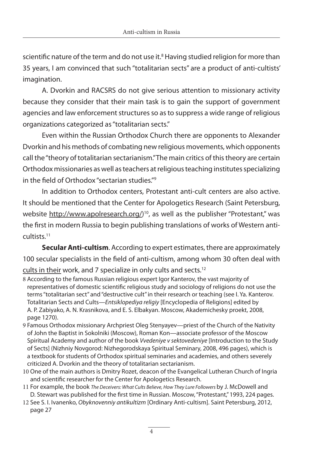scientific nature of the term and do not use it.<sup>8</sup> Having studied religion for more than 35 years, I am convinced that such "totalitarian sects" are a product of anti-cultists' imagination.

A. Dvorkin and RACSRS do not give serious attention to missionary activity because they consider that their main task is to gain the support of government agencies and law enforcement structures so as to suppress a wide range of religious organizations categorized as "totalitarian sects."

Even within the Russian Orthodox Church there are opponents to Alexander Dvorkin and his methods of combating new religious movements, which opponents call the "theory of totalitarian sectarianism." The main critics of this theory are certain Orthodox missionaries as well as teachers at religious teaching institutes specializing in the field of Orthodox "sectarian studies."9

In addition to Orthodox centers, Protestant anti-cult centers are also active. It should be mentioned that the Center for Apologetics Research (Saint Petersburg, website http://www.apolresearch.org/)<sup>10</sup>, as well as the publisher "Protestant," was the first in modern Russia to begin publishing translations of works of Western anticultists.11

**Secular Anti-cultism**. According to expert estimates, there are approximately 100 secular specialists in the field of anti-cultism, among whom 30 often deal with

cults in their work, and 7 specialize in only cults and sects.12

- 8 According to the famous Russian religious expert Igor Kanterov, the vast majority of representatives of domestic scientific religious study and sociology of religions do not use the terms "totalitarian sect" and "destructive cult" in their research or teaching (see I. Ya. Kanterov. Totalitarian Sects and Cults—*Entsiklopediya religiy* [Encyclopedia of Religions] edited by A. P. Zabiyako, A. N. Krasnikova, and E. S. Elbakyan. Moscow, Akademichesky proekt, 2008, page 1270).
- 9 Famous Orthodox missionary Archpriest Oleg Stenyayev—priest of the Church of the Nativity of John the Baptist in Sokolniki (Moscow), Roman Kon—associate professor of the Moscow Spiritual Academy and author of the book *Vvedeniye v sektovedeniye* [Introduction to the Study of Sects] (Nizhniy Novgorod: Nizhegorodskaya Spiritual Seminary, 2008, 496 pages), which is a textbook for students of Orthodox spiritual seminaries and academies, and others severely criticized A. Dvorkin and the theory of totalitarian sectarianism.
- 10 One of the main authors is Dmitry Rozet, deacon of the Evangelical Lutheran Church of Ingria and scientific researcher for the Center for Apologetics Research.
- 11 For example, the book *The Deceivers: What Cults Believe, How They Lure Followers* by J. McDowell and D. Stewart was published for the first time in Russian. Moscow, "Protestant," 1993, 224 pages.
- 12 See S. I. Ivanenko, *Obyknovenniy antikultizm* [Ordinary Anti-cultism]. Saint Petersburg, 2012, page 27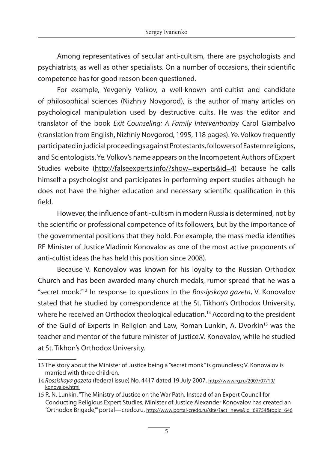Among representatives of secular anti-cultism, there are psychologists and psychiatrists, as well as other specialists. On a number of occasions, their scientific competence has for good reason been questioned.

For example, Yevgeniy Volkov, a well-known anti-cultist and candidate of philosophical sciences (Nizhniy Novgorod), is the author of many articles on psychological manipulation used by destructive cults. He was the editor and translator of the book *Exit Counseling: A Family Intervention*by Carol Giambalvo (translation from English, Nizhniy Novgorod, 1995, 118 pages). Ye. Volkov frequently participated in judicial proceedings against Protestants, followers of Eastern religions, and Scientologists. Ye. Volkov's name appears on the Incompetent Authors of Expert Studies website (http://falseexperts.info/?show=experts&id=4) because he calls himself a psychologist and participates in performing expert studies although he does not have the higher education and necessary scientific qualification in this field.

However, the influence of anti-cultism in modern Russia is determined, not by the scientific or professional competence of its followers, but by the importance of the governmental positions that they hold. For example, the mass media identifies RF Minister of Justice Vladimir Konovalov as one of the most active proponents of anti-cultist ideas (he has held this position since 2008).

Because V. Konovalov was known for his loyalty to the Russian Orthodox Church and has been awarded many church medals, rumor spread that he was a "secret monk."13 In response to questions in the *Rossiyskaya gazeta*, V. Konovalov stated that he studied by correspondence at the St. Tikhon's Orthodox University, where he received an Orthodox theological education.<sup>14</sup> According to the president of the Guild of Experts in Religion and Law, Roman Lunkin, A. Dvorkin<sup>15</sup> was the teacher and mentor of the future minister of justice,V. Konovalov, while he studied at St. Tikhon's Orthodox University.

<sup>13</sup> The story about the Minister of Justice being a "secret monk" is groundless; V. Konovalov is married with three children.

<sup>14</sup> *Rossiskaya gazeta* (federal issue) No. 4417 dated 19 July 2007, http://www.rg.ru/2007/07/19/ konovalov.html

<sup>15</sup> R. N. Lunkin. "The Ministry of Justice on the War Path. Instead of an Expert Council for Conducting Religious Expert Studies, Minister of Justice Alexander Konovalov has created an 'Orthodox Brigade,'" portal—credo.ru, http://www.portal-credo.ru/site/?act=news&id=69754&topic=646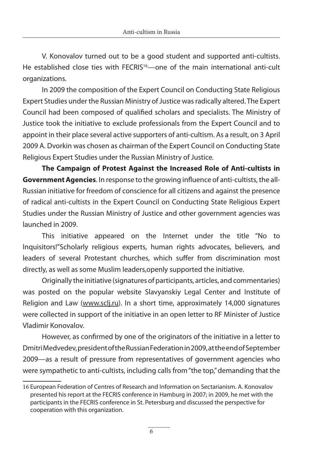V. Konovalov turned out to be a good student and supported anti-cultists. He established close ties with FECRIS<sup>16</sup>—one of the main international anti-cult organizations.

In 2009 the composition of the Expert Council on Conducting State Religious Expert Studies under the Russian Ministry of Justice was radically altered. The Expert Council had been composed of qualified scholars and specialists. The Ministry of Justice took the initiative to exclude professionals from the Expert Council and to appoint in their place several active supporters of anti-cultism. As a result, on 3 April 2009 A. Dvorkin was chosen as chairman of the Expert Council on Conducting State Religious Expert Studies under the Russian Ministry of Justice.

**The Campaign of Protest Against the Increased Role of Anti-cultists in Government Agencies**. In response to the growing influence of anti-cultists, the all-Russian initiative for freedom of conscience for all citizens and against the presence of radical anti-cultists in the Expert Council on Conducting State Religious Expert Studies under the Russian Ministry of Justice and other government agencies was launched in 2009.

This initiative appeared on the Internet under the title "No to Inquisitors!"Scholarly religious experts, human rights advocates, believers, and leaders of several Protestant churches, which suffer from discrimination most directly, as well as some Muslim leaders,openly supported the initiative.

Originally the initiative (signatures of participants, articles, and commentaries) was posted on the popular website Slavyanskiy Legal Center and Institute of Religion and Law (www.sclj.ru). In a short time, approximately 14,000 signatures were collected in support of the initiative in an open letter to RF Minister of Justice Vladimir Konovalov.

However, as confirmed by one of the originators of the initiative in a letter to Dmitri Medvedev, president of the Russian Federation in 2009, at the end of September 2009—as a result of pressure from representatives of government agencies who were sympathetic to anti-cultists, including calls from "the top," demanding that the

<sup>16</sup> European Federation of Centres of Research and Information on Sectarianism. A. Konovalov presented his report at the FECRIS conference in Hamburg in 2007; in 2009, he met with the participants in the FECRIS conference in St. Petersburg and discussed the perspective for cooperation with this organization.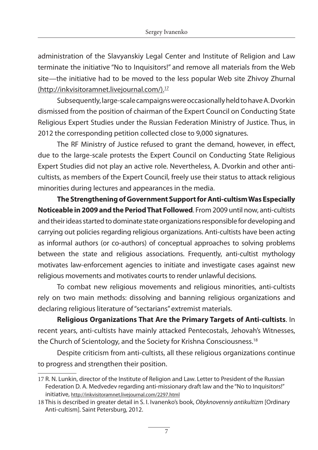administration of the Slavyanskiy Legal Center and Institute of Religion and Law terminate the initiative "No to Inquisitors!" and remove all materials from the Web site—the initiative had to be moved to the less popular Web site Zhivoy Zhurnal (http://inkvisitoramnet.livejournal.com/).17

Subsequently, large-scale campaigns were occasionally held to have A. Dvorkin dismissed from the position of chairman of the Expert Council on Conducting State Religious Expert Studies under the Russian Federation Ministry of Justice. Thus, in 2012 the corresponding petition collected close to 9,000 signatures.

The RF Ministry of Justice refused to grant the demand, however, in effect, due to the large-scale protests the Expert Council on Conducting State Religious Expert Studies did not play an active role. Nevertheless, A. Dvorkin and other anticultists, as members of the Expert Council, freely use their status to attack religious minorities during lectures and appearances in the media.

**The Strengthening of Government Support for Anti-cultism Was Especially Noticeable in 2009 and the Period That Followed**. From 2009 until now, anti-cultists and their ideas started to dominate state organizations responsible for developing and carrying out policies regarding religious organizations. Anti-cultists have been acting as informal authors (or co-authors) of conceptual approaches to solving problems between the state and religious associations. Frequently, anti-cultist mythology motivates law-enforcement agencies to initiate and investigate cases against new religious movements and motivates courts to render unlawful decisions.

To combat new religious movements and religious minorities, anti-cultists rely on two main methods: dissolving and banning religious organizations and declaring religious literature of "sectarians" extremist materials.

**Religious Organizations That Are the Primary Targets of Anti-cultists**. In recent years, anti-cultists have mainly attacked Pentecostals, Jehovah's Witnesses, the Church of Scientology, and the Society for Krishna Consciousness.<sup>18</sup>

Despite criticism from anti-cultists, all these religious organizations continue to progress and strengthen their position.

<sup>17</sup> R. N. Lunkin, director of the Institute of Religion and Law. Letter to President of the Russian Federation D. A. Medvedev regarding anti-missionary draft law and the "No to Inquisitors!" initiative, http://inkvisitoramnet.livejournal.com/2297.html

<sup>18</sup> This is described in greater detail in S. I. Ivanenko's book, *Obyknovenniy antikultizm* [Ordinary Anti-cultism]. Saint Petersburg, 2012.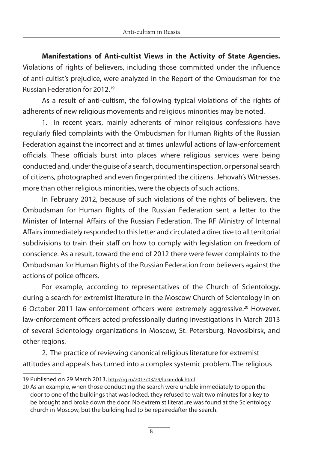**Manifestations of Anti-cultist Views in the Activity of State Agencies.**  Violations of rights of believers, including those committed under the influence of anti-cultist's prejudice, were analyzed in the Report of the Ombudsman for the Russian Federation for 2012.19

As a result of anti-cultism, the following typical violations of the rights of adherents of new religious movements and religious minorities may be noted.

1. In recent years, mainly adherents of minor religious confessions have regularly filed complaints with the Ombudsman for Human Rights of the Russian Federation against the incorrect and at times unlawful actions of law-enforcement officials. These officials burst into places where religious services were being conducted and, under the guise of a search, document inspection, or personal search of citizens, photographed and even fingerprinted the citizens. Jehovah's Witnesses, more than other religious minorities, were the objects of such actions.

In February 2012, because of such violations of the rights of believers, the Ombudsman for Human Rights of the Russian Federation sent a letter to the Minister of Internal Affairs of the Russian Federation. The RF Ministry of Internal Affairs immediately responded to this letter and circulated a directive to all territorial subdivisions to train their staff on how to comply with legislation on freedom of conscience. As a result, toward the end of 2012 there were fewer complaints to the Ombudsman for Human Rights of the Russian Federation from believers against the actions of police officers.

For example, according to representatives of the Church of Scientology, during a search for extremist literature in the Moscow Church of Scientology in on 6 October 2011 law-enforcement officers were extremely aggressive.20 However, law-enforcement officers acted professionally during investigations in March 2013 of several Scientology organizations in Moscow, St. Petersburg, Novosibirsk, and other regions.

2. The practice of reviewing canonical religious literature for extremist attitudes and appeals has turned into a complex systemic problem. The religious

<sup>19</sup> Published on 29 March 2013, http://rg.ru/2013/03/29/lukin-dok.html

<sup>20</sup> As an example, when those conducting the search were unable immediately to open the door to one of the buildings that was locked, they refused to wait two minutes for a key to be brought and broke down the door. No extremist literature was found at the Scientology church in Moscow, but the building had to be repairedafter the search.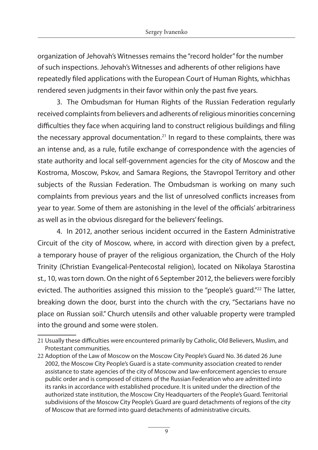organization of Jehovah's Witnesses remains the "record holder" for the number of such inspections. Jehovah's Witnesses and adherents of other religions have repeatedly filed applications with the European Court of Human Rights, whichhas rendered seven judgments in their favor within only the past five years.

3. The Ombudsman for Human Rights of the Russian Federation regularly received complaints from believers and adherents of religious minorities concerning difficulties they face when acquiring land to construct religious buildings and filing the necessary approval documentation.21 In regard to these complaints, there was an intense and, as a rule, futile exchange of correspondence with the agencies of state authority and local self-government agencies for the city of Moscow and the Kostroma, Moscow, Pskov, and Samara Regions, the Stavropol Territory and other subjects of the Russian Federation. The Ombudsman is working on many such complaints from previous years and the list of unresolved conflicts increases from year to year. Some of them are astonishing in the level of the officials' arbitrariness as well as in the obvious disregard for the believers' feelings.

4. In 2012, another serious incident occurred in the Eastern Administrative Circuit of the city of Moscow, where, in accord with direction given by a prefect, a temporary house of prayer of the religious organization, the Church of the Holy Trinity (Christian Evangelical-Pentecostal religion), located on Nikolaya Starostina st., 10, was torn down. On the night of 6 September 2012, the believers were forcibly evicted. The authorities assigned this mission to the "people's guard."<sup>22</sup> The latter, breaking down the door, burst into the church with the cry, "Sectarians have no place on Russian soil." Church utensils and other valuable property were trampled into the ground and some were stolen.

<sup>21</sup> Usually these difficulties were encountered primarily by Catholic, Old Believers, Muslim, and Protestant communities.

<sup>22</sup> Adoption of the Law of Moscow on the Moscow City People's Guard No. 36 dated 26 June 2002, the Moscow City People's Guard is a state-community association created to render assistance to state agencies of the city of Moscow and law-enforcement agencies to ensure public order and is composed of citizens of the Russian Federation who are admitted into its ranks in accordance with established procedure. It is united under the direction of the authorized state institution, the Moscow City Headquarters of the People's Guard. Territorial subdivisions of the Moscow City People's Guard are guard detachments of regions of the city of Moscow that are formed into guard detachments of administrative circuits.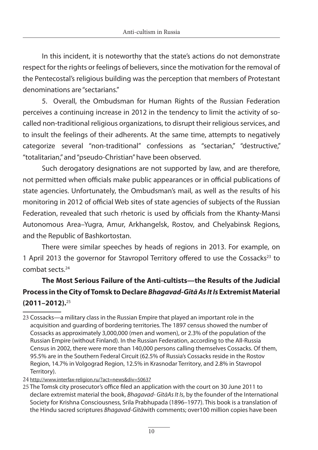In this incident, it is noteworthy that the state's actions do not demonstrate respect for the rights or feelings of believers, since the motivation for the removal of the Pentecostal's religious building was the perception that members of Protestant denominations are "sectarians."

5. Overall, the Ombudsman for Human Rights of the Russian Federation perceives a continuing increase in 2012 in the tendency to limit the activity of socalled non-traditional religious organizations, to disrupt their religious services, and to insult the feelings of their adherents. At the same time, attempts to negatively categorize several "non-traditional" confessions as "sectarian," "destructive," "totalitarian," and "pseudo-Christian" have been observed.

Such derogatory designations are not supported by law, and are therefore, not permitted when officials make public appearances or in official publications of state agencies. Unfortunately, the Ombudsman's mail, as well as the results of his monitoring in 2012 of official Web sites of state agencies of subjects of the Russian Federation, revealed that such rhetoric is used by officials from the Khanty-Mansi Autonomous Area–Yugra, Amur, Arkhangelsk, Rostov, and Chelyabinsk Regions, and the Republic of Bashkortostan.

There were similar speeches by heads of regions in 2013. For example, on 1 April 2013 the governor for Stavropol Territory offered to use the Cossacks<sup>23</sup> to combat sects.24

## **The Most Serious Failure of the Anti-cultists—the Results of the Judicial Process in the City of Tomsk to Declare** *Bhagavad-Gītā As It Is* **Extremist Material (2011–2012).**<sup>25</sup>

24 http://www.interfax-religion.ru/?act=news&div=50637

<sup>23</sup> Cossacks—a military class in the Russian Empire that played an important role in the acquisition and guarding of bordering territories. The 1897 census showed the number of Cossacks as approximately 3,000,000 (men and women), or 2.3% of the population of the Russian Empire (without Finland). In the Russian Federation, according to the All-Russia Census in 2002, there were more than 140,000 persons calling themselves Cossacks. Of them, 95.5% are in the Southern Federal Circuit (62.5% of Russia's Cossacks reside in the Rostov Region, 14.7% in Volgograd Region, 12.5% in Krasnodar Territory, and 2.8% in Stavropol Territory).

<sup>25</sup> The Tomsk city prosecutor's office filed an application with the court on 30 June 2011 to declare extremist material the book, *Bhagavad- GītāAs It Is*, by the founder of the International Society for Krishna Consciousness, Srila Prabhupada (1896–1977). This book is a translation of the Hindu sacred scriptures *Bhagavad-Gītā*with comments; over100 million copies have been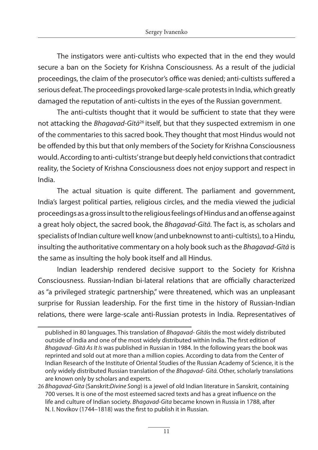The instigators were anti-cultists who expected that in the end they would secure a ban on the Society for Krishna Consciousness. As a result of the judicial proceedings, the claim of the prosecutor's office was denied; anti-cultists suffered a serious defeat. The proceedings provoked large-scale protests in India, which greatly damaged the reputation of anti-cultists in the eyes of the Russian government.

The anti-cultists thought that it would be sufficient to state that they were not attacking the *Bhagavad-Gītā*26 itself, but that they suspected extremism in one of the commentaries to this sacred book. They thought that most Hindus would not be offended by this but that only members of the Society for Krishna Consciousness would. According to anti-cultists' strange but deeply held convictions that contradict reality, the Society of Krishna Consciousness does not enjoy support and respect in India.

The actual situation is quite different. The parliament and government, India's largest political parties, religious circles, and the media viewed the judicial proceedings as a gross insult to the religious feelings of Hindus and an offense against a great holy object, the sacred book, the *Bhagavad-Gītā.* The fact is, as scholars and specialists of Indian culture well know (and unbeknownst to anti-cultists), to a Hindu, insulting the authoritative commentary on a holy book such as the *Bhagavad-Gītā* is the same as insulting the holy book itself and all Hindus.

Indian leadership rendered decisive support to the Society for Krishna Consciousness. Russian-Indian bi-lateral relations that are officially characterized as "a privileged strategic partnership," were threatened, which was an unpleasant surprise for Russian leadership. For the first time in the history of Russian-Indian relations, there were large-scale anti-Russian protests in India. Representatives of

published in 80 languages. This translation of *Bhagavad- Gītā*is the most widely distributed outside of India and one of the most widely distributed within India. The first edition of *Bhagavad- Gītā As It Is* was published in Russian in 1984. In the following years the book was reprinted and sold out at more than a million copies. According to data from the Center of Indian Research of the Institute of Oriental Studies of the Russian Academy of Science, it is the only widely distributed Russian translation of the *Bhagavad- Gītā.* Other, scholarly translations are known only by scholars and experts.

<sup>26</sup> *Bhagavad-Gita* (Sanskrit:*Divine Song*) is a jewel of old Indian literature in Sanskrit, containing 700 verses. It is one of the most esteemed sacred texts and has a great influence on the life and culture of Indian society. *Bhagavad-Gita* became known in Russia in 1788, after N. I. Novikov (1744–1818) was the first to publish it in Russian.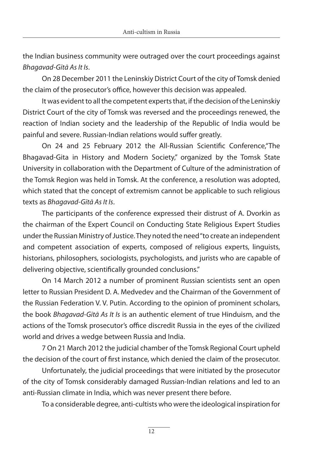the Indian business community were outraged over the court proceedings against *Bhagavad-Gītā As It Is*.

On 28 December 2011 the Leninskiy District Court of the city of Tomsk denied the claim of the prosecutor's office, however this decision was appealed.

It was evident to all the competent experts that, if the decision of the Leninskiy District Court of the city of Tomsk was reversed and the proceedings renewed, the reaction of Indian society and the leadership of the Republic of India would be painful and severe. Russian-Indian relations would suffer greatly.

On 24 and 25 February 2012 the All-Russian Scientific Conference,"The Bhagavad-Gita in History and Modern Society," organized by the Tomsk State University in collaboration with the Department of Culture of the administration of the Tomsk Region was held in Tomsk. At the conference, a resolution was adopted, which stated that the concept of extremism cannot be applicable to such religious texts as *Bhagavad-Gītā As It Is*.

The participants of the conference expressed their distrust of A. Dvorkin as the chairman of the Expert Council on Conducting State Religious Expert Studies under the Russian Ministry of Justice. They noted the need "to create an independent and competent association of experts, composed of religious experts, linguists, historians, philosophers, sociologists, psychologists, and jurists who are capable of delivering objective, scientifically grounded conclusions."

On 14 March 2012 a number of prominent Russian scientists sent an open letter to Russian President D. A. Medvedev and the Chairman of the Government of the Russian Federation V. V. Putin. According to the opinion of prominent scholars, the book *Bhagavad-Gītā As It Is* is an authentic element of true Hinduism, and the actions of the Tomsk prosecutor's office discredit Russia in the eyes of the civilized world and drives a wedge between Russia and India.

7 On 21 March 2012 the judicial chamber of the Tomsk Regional Court upheld the decision of the court of first instance, which denied the claim of the prosecutor.

Unfortunately, the judicial proceedings that were initiated by the prosecutor of the city of Tomsk considerably damaged Russian-Indian relations and led to an anti-Russian climate in India, which was never present there before.

To a considerable degree, anti-cultists who were the ideological inspiration for